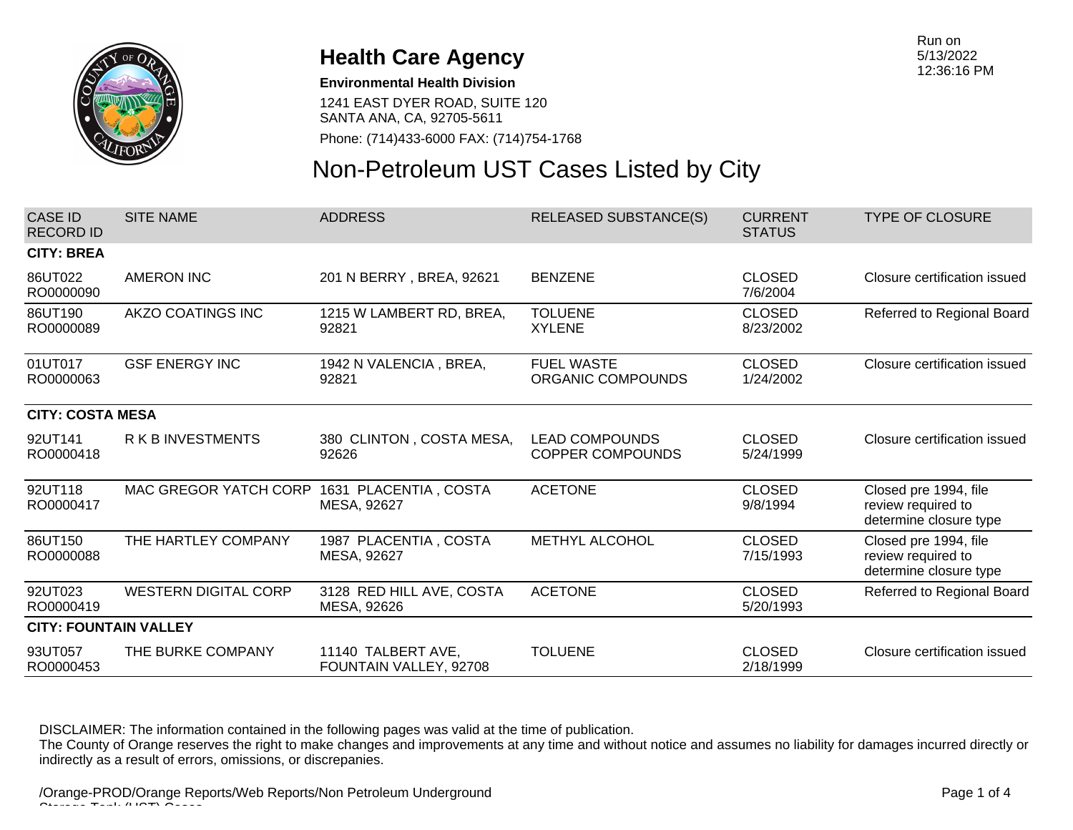

#### **Environmental Health Division**

1241 EAST DYER ROAD, SUITE 120 SANTA ANA, CA, 92705-5611

Phone: (714)433-6000 FAX: (714)754-1768

# Non-Petroleum UST Cases Listed by City

| CASE ID<br><b>RECORD ID</b>  | <b>SITE NAME</b>            | <b>ADDRESS</b>                               | <b>RELEASED SUBSTANCE(S)</b>                     | <b>CURRENT</b><br><b>STATUS</b> | <b>TYPE OF CLOSURE</b>                                                |  |
|------------------------------|-----------------------------|----------------------------------------------|--------------------------------------------------|---------------------------------|-----------------------------------------------------------------------|--|
| <b>CITY: BREA</b>            |                             |                                              |                                                  |                                 |                                                                       |  |
| 86UT022<br>RO0000090         | <b>AMERON INC</b>           | 201 N BERRY, BREA, 92621                     | <b>BENZENE</b>                                   | <b>CLOSED</b><br>7/6/2004       | Closure certification issued                                          |  |
| 86UT190<br>RO0000089         | AKZO COATINGS INC           | 1215 W LAMBERT RD, BREA,<br>92821            | <b>TOLUENE</b><br><b>XYLENE</b>                  | <b>CLOSED</b><br>8/23/2002      | Referred to Regional Board                                            |  |
| 01UT017<br>RO0000063         | <b>GSF ENERGY INC</b>       | 1942 N VALENCIA, BREA,<br>92821              | <b>FUEL WASTE</b><br>ORGANIC COMPOUNDS           | <b>CLOSED</b><br>1/24/2002      | Closure certification issued                                          |  |
| <b>CITY: COSTA MESA</b>      |                             |                                              |                                                  |                                 |                                                                       |  |
| 92UT141<br>RO0000418         | <b>RKBINVESTMENTS</b>       | 380 CLINTON, COSTA MESA,<br>92626            | <b>LEAD COMPOUNDS</b><br><b>COPPER COMPOUNDS</b> | <b>CLOSED</b><br>5/24/1999      | Closure certification issued                                          |  |
| 92UT118<br>RO0000417         | MAC GREGOR YATCH CORP       | 1631 PLACENTIA, COSTA<br>MESA, 92627         | <b>ACETONE</b>                                   | <b>CLOSED</b><br>9/8/1994       | Closed pre 1994, file<br>review required to<br>determine closure type |  |
| 86UT150<br>RO0000088         | THE HARTLEY COMPANY         | 1987 PLACENTIA, COSTA<br>MESA, 92627         | METHYL ALCOHOL                                   | <b>CLOSED</b><br>7/15/1993      | Closed pre 1994, file<br>review required to<br>determine closure type |  |
| 92UT023<br>RO0000419         | <b>WESTERN DIGITAL CORP</b> | 3128 RED HILL AVE, COSTA<br>MESA, 92626      | <b>ACETONE</b>                                   | <b>CLOSED</b><br>5/20/1993      | Referred to Regional Board                                            |  |
| <b>CITY: FOUNTAIN VALLEY</b> |                             |                                              |                                                  |                                 |                                                                       |  |
| 93UT057<br>RO0000453         | THE BURKE COMPANY           | 11140 TALBERT AVE,<br>FOUNTAIN VALLEY, 92708 | <b>TOLUENE</b>                                   | <b>CLOSED</b><br>2/18/1999      | Closure certification issued                                          |  |
|                              |                             |                                              |                                                  |                                 |                                                                       |  |

DISCLAIMER: The information contained in the following pages was valid at the time of publication.

The County of Orange reserves the right to make changes and improvements at any time and without notice and assumes no liability for damages incurred directly or indirectly as a result of errors, omissions, or discrepanies.

/Orange-PROD/Orange Reports/Web Reports/Non Petroleum Underground  $\sim$   $\pm$   $\sim$   $\sim$   $\sim$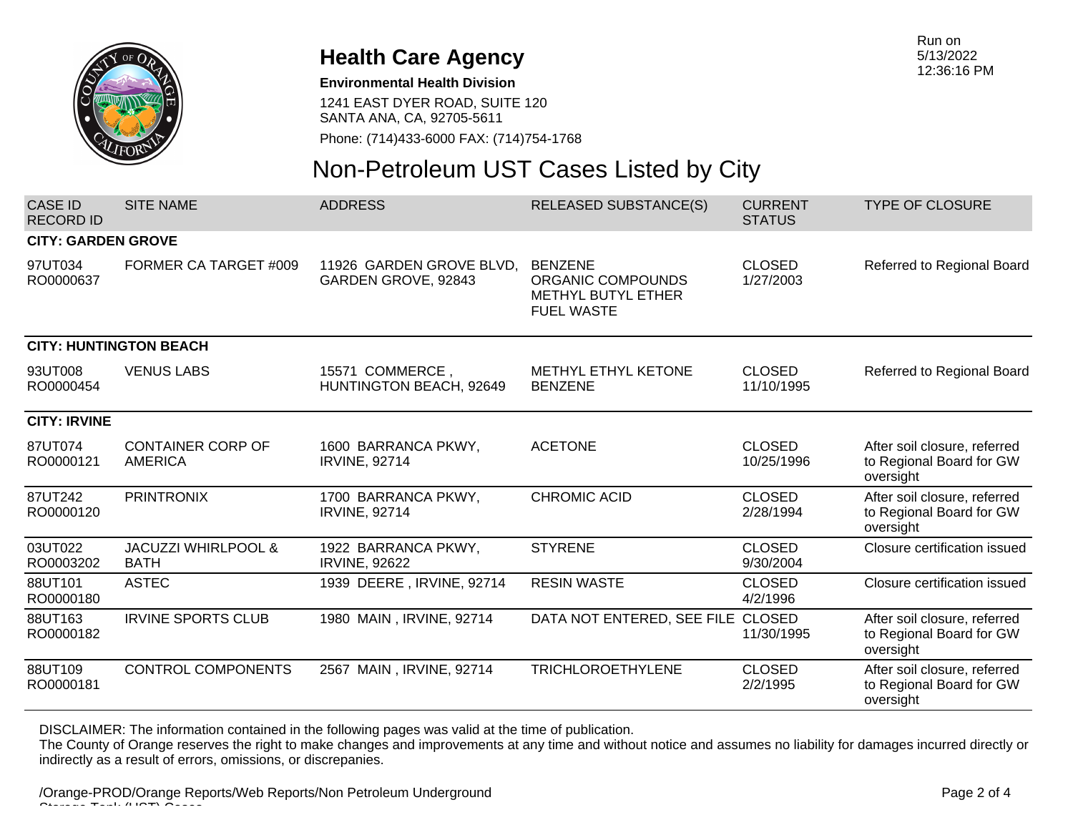

#### **Environmental Health Division**

1241 EAST DYER ROAD, SUITE 120 SANTA ANA, CA, 92705-5611

Phone: (714)433-6000 FAX: (714)754-1768

## Non-Petroleum UST Cases Listed by City

| <b>CASE ID</b><br><b>RECORD ID</b> | <b>SITE NAME</b>                              | <b>ADDRESS</b>                                  | <b>RELEASED SUBSTANCE(S)</b>                                                          | <b>CURRENT</b><br><b>STATUS</b> | <b>TYPE OF CLOSURE</b>                                                |
|------------------------------------|-----------------------------------------------|-------------------------------------------------|---------------------------------------------------------------------------------------|---------------------------------|-----------------------------------------------------------------------|
| <b>CITY: GARDEN GROVE</b>          |                                               |                                                 |                                                                                       |                                 |                                                                       |
| 97UT034<br>RO0000637               | FORMER CA TARGET #009                         | 11926 GARDEN GROVE BLVD.<br>GARDEN GROVE, 92843 | <b>BENZENE</b><br>ORGANIC COMPOUNDS<br><b>METHYL BUTYL ETHER</b><br><b>FUEL WASTE</b> | <b>CLOSED</b><br>1/27/2003      | Referred to Regional Board                                            |
| <b>CITY: HUNTINGTON BEACH</b>      |                                               |                                                 |                                                                                       |                                 |                                                                       |
| 93UT008<br>RO0000454               | <b>VENUS LABS</b>                             | 15571 COMMERCE,<br>HUNTINGTON BEACH, 92649      | METHYL ETHYL KETONE<br><b>BENZENE</b>                                                 | <b>CLOSED</b><br>11/10/1995     | Referred to Regional Board                                            |
| <b>CITY: IRVINE</b>                |                                               |                                                 |                                                                                       |                                 |                                                                       |
| 87UT074<br>RO0000121               | <b>CONTAINER CORP OF</b><br><b>AMERICA</b>    | 1600 BARRANCA PKWY,<br><b>IRVINE, 92714</b>     | <b>ACETONE</b>                                                                        | <b>CLOSED</b><br>10/25/1996     | After soil closure, referred<br>to Regional Board for GW<br>oversight |
| 87UT242<br>RO0000120               | <b>PRINTRONIX</b>                             | 1700 BARRANCA PKWY,<br><b>IRVINE, 92714</b>     | <b>CHROMIC ACID</b>                                                                   | <b>CLOSED</b><br>2/28/1994      | After soil closure, referred<br>to Regional Board for GW<br>oversight |
| 03UT022<br>RO0003202               | <b>JACUZZI WHIRLPOOL &amp;</b><br><b>BATH</b> | 1922 BARRANCA PKWY,<br><b>IRVINE, 92622</b>     | <b>STYRENE</b>                                                                        | <b>CLOSED</b><br>9/30/2004      | Closure certification issued                                          |
| 88UT101<br>RO0000180               | <b>ASTEC</b>                                  | 1939 DEERE, IRVINE, 92714                       | <b>RESIN WASTE</b>                                                                    | <b>CLOSED</b><br>4/2/1996       | Closure certification issued                                          |
| 88UT163<br>RO0000182               | <b>IRVINE SPORTS CLUB</b>                     | 1980 MAIN, IRVINE, 92714                        | DATA NOT ENTERED, SEE FILE CLOSED                                                     | 11/30/1995                      | After soil closure, referred<br>to Regional Board for GW<br>oversight |
| 88UT109<br>RO0000181               | <b>CONTROL COMPONENTS</b>                     | 2567 MAIN, IRVINE, 92714                        | <b>TRICHLOROETHYLENE</b>                                                              | <b>CLOSED</b><br>2/2/1995       | After soil closure, referred<br>to Regional Board for GW<br>oversight |

DISCLAIMER: The information contained in the following pages was valid at the time of publication.

The County of Orange reserves the right to make changes and improvements at any time and without notice and assumes no liability for damages incurred directly or indirectly as a result of errors, omissions, or discrepanies.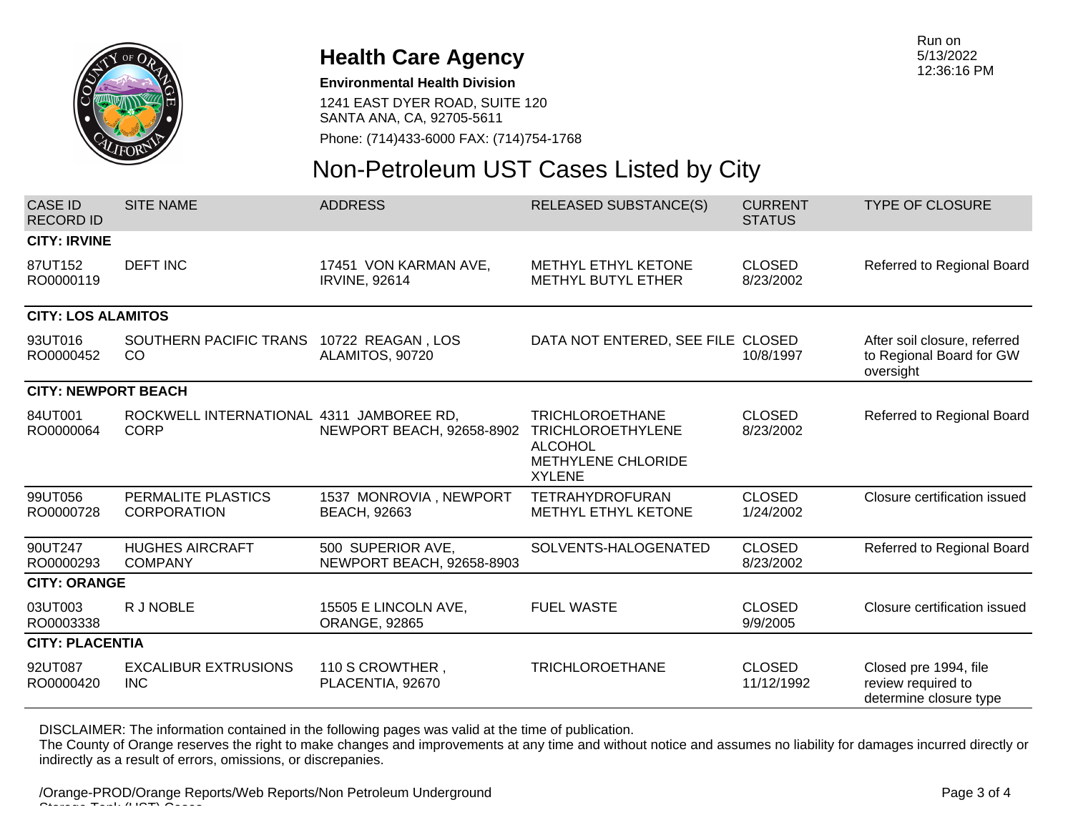

#### **Environmental Health Division**

1241 EAST DYER ROAD, SUITE 120 SANTA ANA, CA, 92705-5611

Phone: (714)433-6000 FAX: (714)754-1768

# Non-Petroleum UST Cases Listed by City

| <b>CASE ID</b><br>RECORD ID | <b>SITE NAME</b>                                        | <b>ADDRESS</b>                                 | <b>RELEASED SUBSTANCE(S)</b>                                                                                | <b>CURRENT</b><br><b>STATUS</b> | <b>TYPE OF CLOSURE</b>                                                |  |
|-----------------------------|---------------------------------------------------------|------------------------------------------------|-------------------------------------------------------------------------------------------------------------|---------------------------------|-----------------------------------------------------------------------|--|
| <b>CITY: IRVINE</b>         |                                                         |                                                |                                                                                                             |                                 |                                                                       |  |
| 87UT152<br>RO0000119        | <b>DEFT INC</b>                                         | 17451 VON KARMAN AVE,<br><b>IRVINE, 92614</b>  | METHYL ETHYL KETONE<br>METHYL BUTYL ETHER                                                                   | <b>CLOSED</b><br>8/23/2002      | Referred to Regional Board                                            |  |
| <b>CITY: LOS ALAMITOS</b>   |                                                         |                                                |                                                                                                             |                                 |                                                                       |  |
| 93UT016<br>RO0000452        | SOUTHERN PACIFIC TRANS<br>CO                            | 10722 REAGAN, LOS<br>ALAMITOS, 90720           | DATA NOT ENTERED, SEE FILE CLOSED                                                                           | 10/8/1997                       | After soil closure, referred<br>to Regional Board for GW<br>oversight |  |
| <b>CITY: NEWPORT BEACH</b>  |                                                         |                                                |                                                                                                             |                                 |                                                                       |  |
| 84UT001<br>RO0000064        | ROCKWELL INTERNATIONAL 4311 JAMBOREE RD,<br><b>CORP</b> | NEWPORT BEACH, 92658-8902                      | <b>TRICHLOROETHANE</b><br><b>TRICHLOROETHYLENE</b><br><b>ALCOHOL</b><br>METHYLENE CHLORIDE<br><b>XYLENE</b> | <b>CLOSED</b><br>8/23/2002      | Referred to Regional Board                                            |  |
| 99UT056<br>RO0000728        | PERMALITE PLASTICS<br><b>CORPORATION</b>                | 1537 MONROVIA, NEWPORT<br><b>BEACH, 92663</b>  | <b>TETRAHYDROFURAN</b><br><b>METHYL ETHYL KETONE</b>                                                        | <b>CLOSED</b><br>1/24/2002      | Closure certification issued                                          |  |
| 90UT247<br>RO0000293        | <b>HUGHES AIRCRAFT</b><br><b>COMPANY</b>                | 500 SUPERIOR AVE,<br>NEWPORT BEACH, 92658-8903 | SOLVENTS-HALOGENATED                                                                                        | <b>CLOSED</b><br>8/23/2002      | Referred to Regional Board                                            |  |
| <b>CITY: ORANGE</b>         |                                                         |                                                |                                                                                                             |                                 |                                                                       |  |
| 03UT003<br>RO0003338        | R J NOBLE                                               | 15505 E LINCOLN AVE,<br><b>ORANGE, 92865</b>   | <b>FUEL WASTE</b>                                                                                           | <b>CLOSED</b><br>9/9/2005       | Closure certification issued                                          |  |
| <b>CITY: PLACENTIA</b>      |                                                         |                                                |                                                                                                             |                                 |                                                                       |  |
| 92UT087<br>RO0000420        | <b>EXCALIBUR EXTRUSIONS</b><br><b>INC</b>               | 110 S CROWTHER,<br>PLACENTIA, 92670            | <b>TRICHLOROETHANE</b>                                                                                      | <b>CLOSED</b><br>11/12/1992     | Closed pre 1994, file<br>review required to<br>determine closure type |  |

DISCLAIMER: The information contained in the following pages was valid at the time of publication.

The County of Orange reserves the right to make changes and improvements at any time and without notice and assumes no liability for damages incurred directly or indirectly as a result of errors, omissions, or discrepanies.

/Orange-PROD/Orange Reports/Web Reports/Non Petroleum Underground  $\sim$   $\pm$   $\sim$   $\sim$   $\sim$